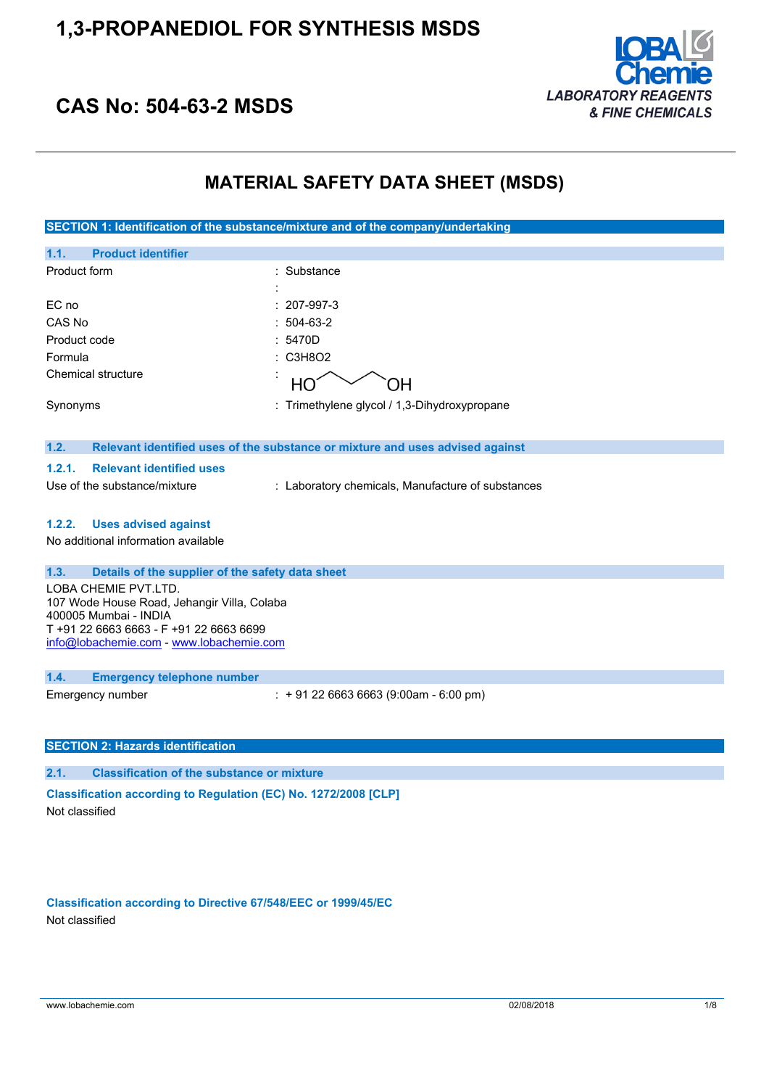## **1,3-PROPANEDIOL FOR SYNTHESIS MSDS**



## **CAS No: 504-63-2 MSDS**

### **MATERIAL SAFETY DATA SHEET (MSDS)**

**SECTION 1: Identification of the substance/mixture and of the company/undertaking**

| 1.1.<br><b>Product identifier</b>                                                                                                                                                   |                                                                               |
|-------------------------------------------------------------------------------------------------------------------------------------------------------------------------------------|-------------------------------------------------------------------------------|
| Product form                                                                                                                                                                        | : Substance                                                                   |
| EC no                                                                                                                                                                               | 207-997-3                                                                     |
| CAS No                                                                                                                                                                              | 504-63-2                                                                      |
| Product code                                                                                                                                                                        | 5470D                                                                         |
| Formula                                                                                                                                                                             | C3H8O2<br>٠                                                                   |
| Chemical structure                                                                                                                                                                  | HO<br>OH.                                                                     |
| Synonyms                                                                                                                                                                            | : Trimethylene glycol / 1,3-Dihydroxypropane                                  |
| 1.2.                                                                                                                                                                                | Relevant identified uses of the substance or mixture and uses advised against |
| <b>Relevant identified uses</b><br>1.2.1.                                                                                                                                           |                                                                               |
| Use of the substance/mixture                                                                                                                                                        | : Laboratory chemicals, Manufacture of substances                             |
| 1.2.2.<br><b>Uses advised against</b>                                                                                                                                               |                                                                               |
| No additional information available                                                                                                                                                 |                                                                               |
|                                                                                                                                                                                     |                                                                               |
| 1.3.<br>Details of the supplier of the safety data sheet                                                                                                                            |                                                                               |
| LOBA CHEMIE PVT.LTD.<br>107 Wode House Road, Jehangir Villa, Colaba<br>400005 Mumbai - INDIA<br>T +91 22 6663 6663 - F +91 22 6663 6699<br>info@lobachemie.com - www.lobachemie.com |                                                                               |
| 1.4.<br><b>Emergency telephone number</b>                                                                                                                                           |                                                                               |
| Emergency number                                                                                                                                                                    | $: +912266636663(9:00am - 6:00 pm)$                                           |
|                                                                                                                                                                                     |                                                                               |
| <b>SECTION 2: Hazards identification</b>                                                                                                                                            |                                                                               |
| 2.1.<br><b>Classification of the substance or mixture</b>                                                                                                                           |                                                                               |
| Classification according to Regulation (EC) No. 1272/2008 [CLP]<br>Not classified                                                                                                   |                                                                               |

**Classification according to Directive 67/548/EEC or 1999/45/EC** Not classified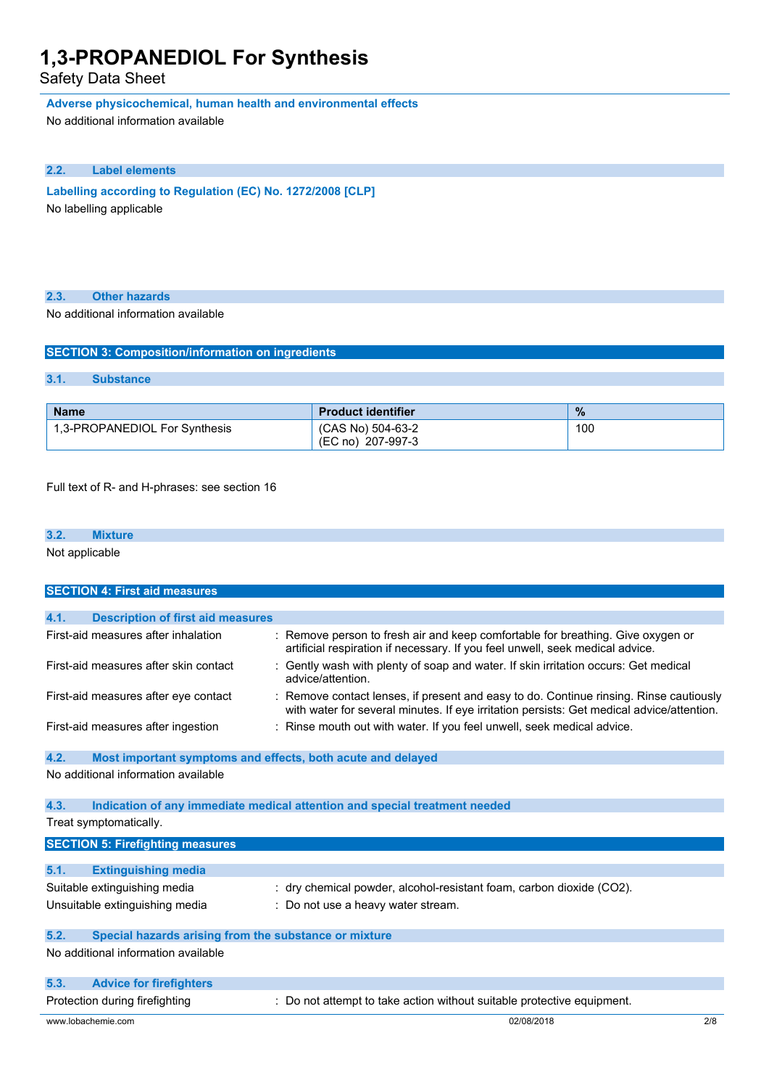### Safety Data Sheet

**Adverse physicochemical, human health and environmental effects**

No additional information available

#### **2.2. Label elements**

**Labelling according to Regulation** (EC) **No. 1272/2008** [CLP] No labelling applicable

### **2.3. Other hazards**

No additional information available

| <b>SECTION 3: Composition/information on ingredients</b> |                  |  |
|----------------------------------------------------------|------------------|--|
|                                                          |                  |  |
| 3.1.                                                     | <b>Substance</b> |  |
|                                                          |                  |  |

| <b>Name</b>                   | <b>Product identifier</b>              | $\frac{9}{6}$ |
|-------------------------------|----------------------------------------|---------------|
| 1,3-PROPANEDIOL For Synthesis | (CAS No) 504-63-2<br>(EC no) 207-997-3 | 100           |

Full text of R- and H-phrases: see section 16

Not applicable

| <b>SECTION 4: First aid measures</b>                                |                                                                                                                                                                                     |  |
|---------------------------------------------------------------------|-------------------------------------------------------------------------------------------------------------------------------------------------------------------------------------|--|
|                                                                     |                                                                                                                                                                                     |  |
| <b>Description of first aid measures</b><br>4.1.                    |                                                                                                                                                                                     |  |
| First-aid measures after inhalation                                 | : Remove person to fresh air and keep comfortable for breathing. Give oxygen or<br>artificial respiration if necessary. If you feel unwell, seek medical advice.                    |  |
| First-aid measures after skin contact                               | : Gently wash with plenty of soap and water. If skin irritation occurs: Get medical<br>advice/attention.                                                                            |  |
| First-aid measures after eye contact                                | : Remove contact lenses, if present and easy to do. Continue rinsing. Rinse cautiously<br>with water for several minutes. If eye irritation persists: Get medical advice/attention. |  |
| First-aid measures after ingestion                                  | : Rinse mouth out with water. If you feel unwell, seek medical advice.                                                                                                              |  |
| 4.2.<br>Most important symptoms and effects, both acute and delayed |                                                                                                                                                                                     |  |
| No additional information available                                 |                                                                                                                                                                                     |  |
| 4.3.                                                                | Indication of any immediate medical attention and special treatment needed                                                                                                          |  |
| Treat symptomatically.                                              |                                                                                                                                                                                     |  |
| <b>SECTION 5: Firefighting measures</b>                             |                                                                                                                                                                                     |  |
| 5.1.<br><b>Extinguishing media</b>                                  |                                                                                                                                                                                     |  |
| Suitable extinguishing media                                        | : dry chemical powder, alcohol-resistant foam, carbon dioxide (CO2).                                                                                                                |  |
| Unsuitable extinguishing media                                      | : Do not use a heavy water stream.                                                                                                                                                  |  |
| 5.2.<br>Special hazards arising from the substance or mixture       |                                                                                                                                                                                     |  |
| No additional information available                                 |                                                                                                                                                                                     |  |
| 5.3.<br><b>Advice for firefighters</b>                              |                                                                                                                                                                                     |  |
| Protection during firefighting                                      | : Do not attempt to take action without suitable protective equipment.                                                                                                              |  |
| www.lobachemie.com                                                  | 02/08/2018<br>2/8                                                                                                                                                                   |  |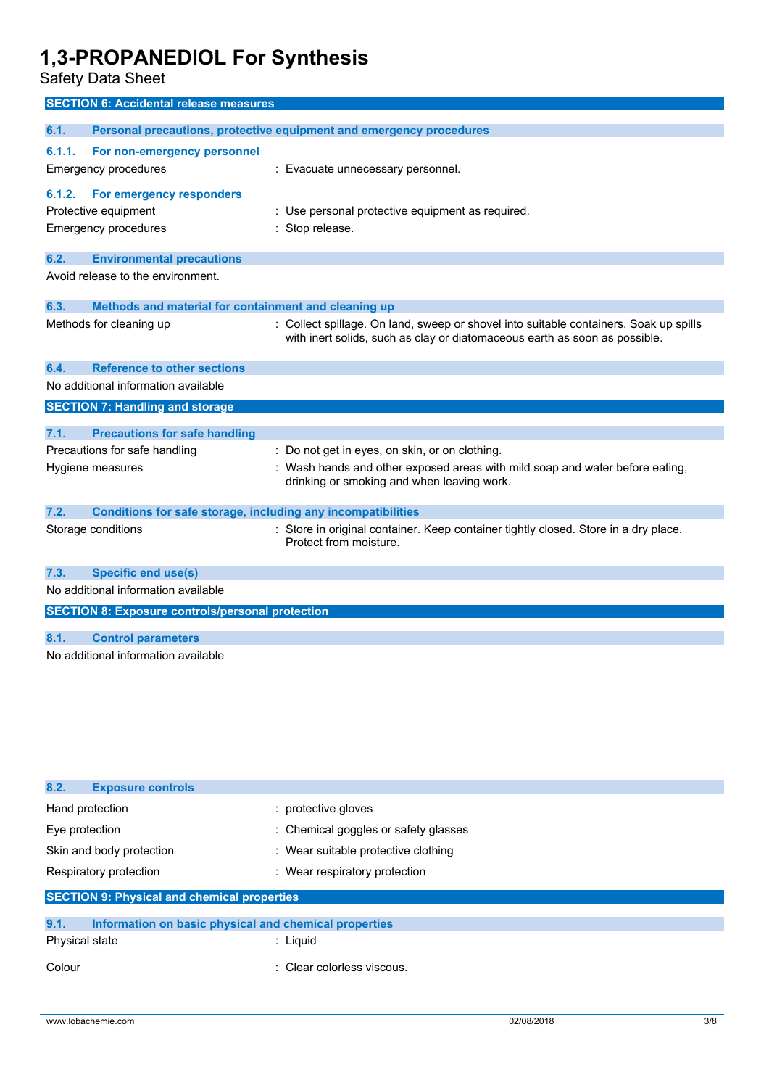Safety Data Sheet

| <b>SECTION 6: Accidental release measures</b>           |                                                                                                                                                                     |
|---------------------------------------------------------|---------------------------------------------------------------------------------------------------------------------------------------------------------------------|
| 6.1.                                                    | Personal precautions, protective equipment and emergency procedures                                                                                                 |
|                                                         |                                                                                                                                                                     |
| 6.1.1.<br>For non-emergency personnel                   |                                                                                                                                                                     |
| Emergency procedures                                    | : Evacuate unnecessary personnel.                                                                                                                                   |
| For emergency responders<br>6.1.2.                      |                                                                                                                                                                     |
| Protective equipment                                    | : Use personal protective equipment as required.                                                                                                                    |
| <b>Emergency procedures</b>                             | : Stop release.                                                                                                                                                     |
|                                                         |                                                                                                                                                                     |
| 6.2.<br><b>Environmental precautions</b>                |                                                                                                                                                                     |
| Avoid release to the environment.                       |                                                                                                                                                                     |
| 6.3.                                                    | Methods and material for containment and cleaning up                                                                                                                |
| Methods for cleaning up                                 | : Collect spillage. On land, sweep or shovel into suitable containers. Soak up spills<br>with inert solids, such as clay or diatomaceous earth as soon as possible. |
| <b>Reference to other sections</b><br>6.4.              |                                                                                                                                                                     |
| No additional information available                     |                                                                                                                                                                     |
| <b>SECTION 7: Handling and storage</b>                  |                                                                                                                                                                     |
|                                                         |                                                                                                                                                                     |
| 7.1.<br><b>Precautions for safe handling</b>            |                                                                                                                                                                     |
| Precautions for safe handling                           | : Do not get in eyes, on skin, or on clothing.                                                                                                                      |
| Hygiene measures                                        | Wash hands and other exposed areas with mild soap and water before eating,<br>drinking or smoking and when leaving work.                                            |
| 7.2.                                                    | <b>Conditions for safe storage, including any incompatibilities</b>                                                                                                 |
| Storage conditions                                      | : Store in original container. Keep container tightly closed. Store in a dry place.<br>Protect from moisture.                                                       |
| <b>Specific end use(s)</b><br>7.3.                      |                                                                                                                                                                     |
| No additional information available                     |                                                                                                                                                                     |
| <b>SECTION 8: Exposure controls/personal protection</b> |                                                                                                                                                                     |
|                                                         |                                                                                                                                                                     |
| <b>Control parameters</b><br>8.1.                       |                                                                                                                                                                     |
| No additional information available                     |                                                                                                                                                                     |

| 8.2.<br><b>Exposure controls</b>                              |                                      |  |
|---------------------------------------------------------------|--------------------------------------|--|
| Hand protection                                               | : protective gloves                  |  |
| Eye protection                                                | : Chemical goggles or safety glasses |  |
| Skin and body protection                                      | : Wear suitable protective clothing  |  |
| Respiratory protection                                        | : Wear respiratory protection        |  |
| <b>SECTION 9: Physical and chemical properties</b>            |                                      |  |
|                                                               |                                      |  |
| 9.1.<br>Information on basic physical and chemical properties |                                      |  |
| Physical state                                                | : Liquid                             |  |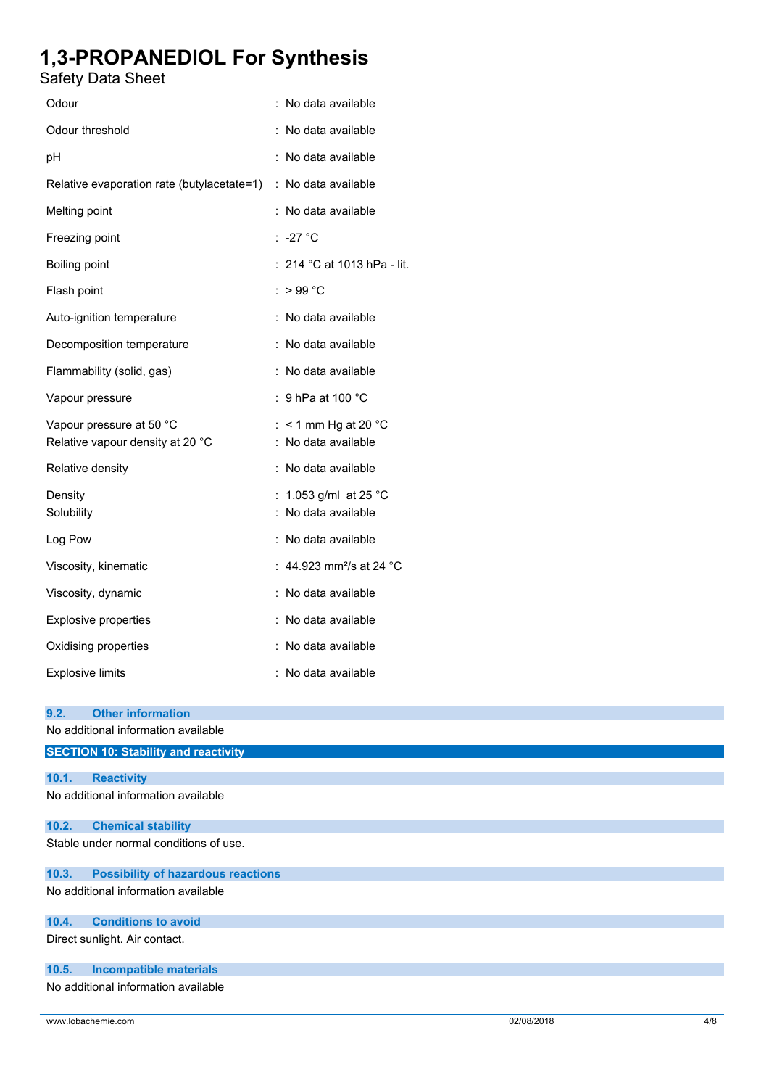Safety Data Sheet

| raioty Data Onoot                                                       |                                               |
|-------------------------------------------------------------------------|-----------------------------------------------|
| Odour                                                                   | : No data available                           |
| Odour threshold                                                         | : No data available                           |
| pН                                                                      | : No data available                           |
| Relative evaporation rate (butylacetate=1)                              | : No data available                           |
| Melting point                                                           | : No data available                           |
| Freezing point                                                          | :-27 °C                                       |
| <b>Boiling point</b>                                                    | : 214 °C at 1013 hPa - lit.                   |
| Flash point                                                             | : $>99^{\circ}$ C                             |
| Auto-ignition temperature                                               | : No data available                           |
| Decomposition temperature                                               | : No data available                           |
| Flammability (solid, gas)                                               | : No data available                           |
| Vapour pressure                                                         | : 9 hPa at 100 $^{\circ}$ C                   |
| Vapour pressure at 50 °C<br>Relative vapour density at 20 °C            | : $<$ 1 mm Hg at 20 °C<br>: No data available |
| Relative density                                                        | : No data available                           |
| Density<br>Solubility                                                   | : 1.053 g/ml at 25 °C<br>: No data available  |
| Log Pow                                                                 | : No data available                           |
| Viscosity, kinematic                                                    | : 44.923 mm <sup>2</sup> /s at 24 °C          |
| Viscosity, dynamic                                                      | : No data available                           |
| Explosive properties                                                    | : No data available                           |
| Oxidising properties                                                    | : No data available                           |
| <b>Explosive limits</b>                                                 | : No data available                           |
| 9.2.<br><b>Other information</b><br>No additional information available |                                               |
| <b>SECTION 10: Stability and reactivity</b>                             |                                               |
|                                                                         |                                               |

| 10.1.7 | <b>Reactivity</b>                         |
|--------|-------------------------------------------|
|        | No additional information available       |
| 10.2.  | <b>Chemical stability</b>                 |
|        | Stable under normal conditions of use.    |
| 10.3.  | <b>Possibility of hazardous reactions</b> |
|        | No additional information available       |

**10.4. Conditions to avoid**

Direct sunlight. Air contact.

#### **10.5. Incompatible materials**

No additional information available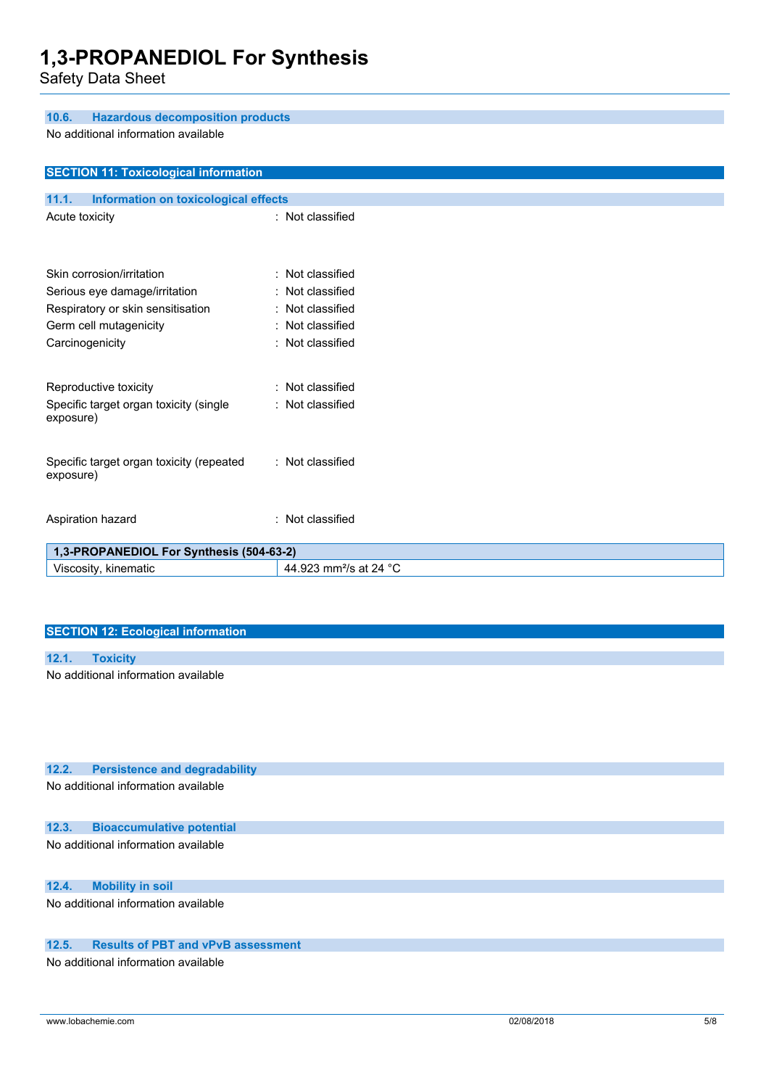**10.6. Hazardous decomposition products**

Safety Data Sheet

| No additional information available                   |                                    |
|-------------------------------------------------------|------------------------------------|
| <b>SECTION 11: Toxicological information</b>          |                                    |
| 11.1.<br>Information on toxicological effects         |                                    |
| Acute toxicity                                        | : Not classified                   |
| Skin corrosion/irritation                             | : Not classified                   |
| Serious eye damage/irritation                         | : Not classified                   |
| Respiratory or skin sensitisation                     | : Not classified                   |
| Germ cell mutagenicity                                | : Not classified                   |
| Carcinogenicity                                       | : Not classified                   |
| Reproductive toxicity                                 | : Not classified                   |
| Specific target organ toxicity (single<br>exposure)   | : Not classified                   |
| Specific target organ toxicity (repeated<br>exposure) | : Not classified                   |
| Aspiration hazard                                     | : Not classified                   |
| 1,3-PROPANEDIOL For Synthesis (504-63-2)              |                                    |
| Viscosity, kinematic                                  | 44.923 mm <sup>2</sup> /s at 24 °C |

#### **SECTION 12: Ecological information**

### **12.1. Toxicity**

No additional information available

#### **12.2. Persistence and degradability**

No additional information available

#### **12.3. Bioaccumulative potential**

No additional information available

### **12.4. Mobility in soil**

No additional information available

### **12.5. Results of PBT and vPvB assessment**

No additional information available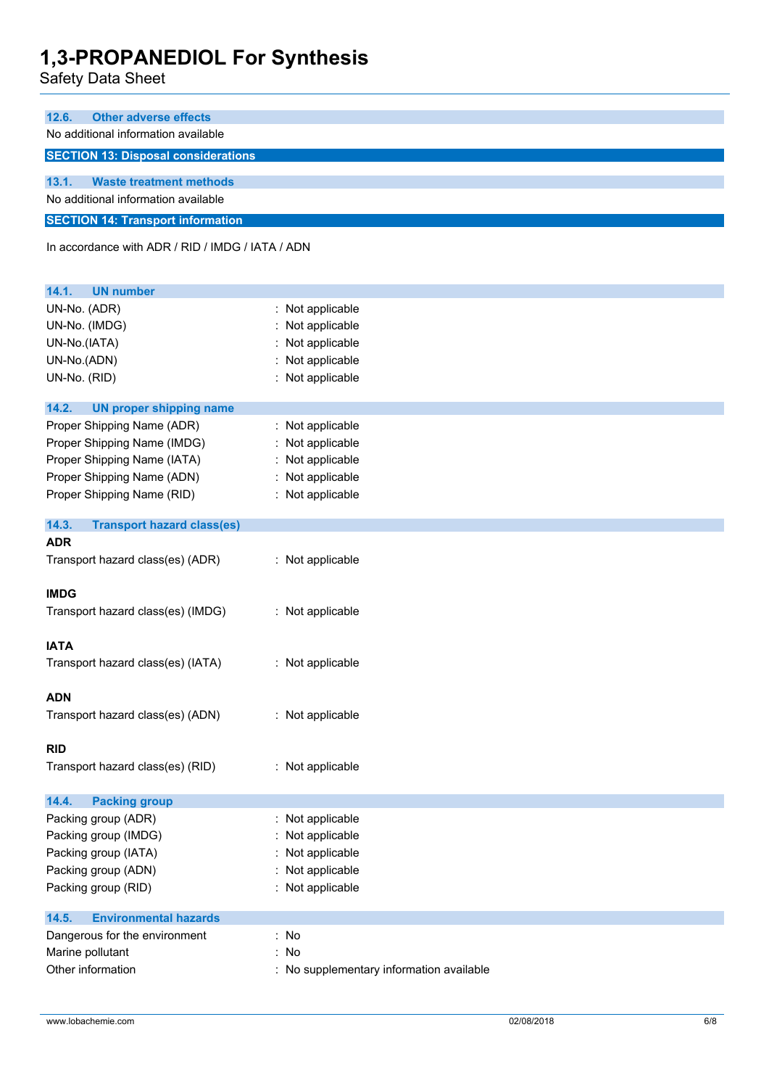Safety Data Sheet

| 12.6. | <b>Other adverse effects</b>               |
|-------|--------------------------------------------|
|       | No additional information available        |
|       | <b>SECTION 13: Disposal considerations</b> |
|       |                                            |
| 13.1. | <b>Waste treatment methods</b>             |
|       | No additional information available        |
|       | <b>SECTION 14: Transport information</b>   |

In accordance with ADR / RID / IMDG / IATA / ADN

| 14.1.<br><b>UN number</b>                  |                                          |
|--------------------------------------------|------------------------------------------|
| UN-No. (ADR)                               | : Not applicable                         |
| UN-No. (IMDG)                              | Not applicable                           |
| UN-No.(IATA)                               | Not applicable                           |
| UN-No.(ADN)                                | Not applicable                           |
| UN-No. (RID)                               | : Not applicable                         |
| 14.2.<br><b>UN proper shipping name</b>    |                                          |
| Proper Shipping Name (ADR)                 | : Not applicable                         |
| Proper Shipping Name (IMDG)                | : Not applicable                         |
| Proper Shipping Name (IATA)                | : Not applicable                         |
| Proper Shipping Name (ADN)                 | Not applicable                           |
| Proper Shipping Name (RID)                 | : Not applicable                         |
| 14.3.<br><b>Transport hazard class(es)</b> |                                          |
| <b>ADR</b>                                 |                                          |
| Transport hazard class(es) (ADR)           | : Not applicable                         |
| <b>IMDG</b>                                |                                          |
| Transport hazard class(es) (IMDG)          | : Not applicable                         |
| <b>IATA</b>                                |                                          |
| Transport hazard class(es) (IATA)          | : Not applicable                         |
| <b>ADN</b>                                 |                                          |
| Transport hazard class(es) (ADN)           | : Not applicable                         |
| <b>RID</b>                                 |                                          |
| Transport hazard class(es) (RID)           | : Not applicable                         |
| 14.4.<br><b>Packing group</b>              |                                          |
| Packing group (ADR)                        | : Not applicable                         |
| Packing group (IMDG)                       | Not applicable                           |
| Packing group (IATA)                       | : Not applicable                         |
| Packing group (ADN)                        | : Not applicable                         |
| Packing group (RID)                        | : Not applicable                         |
| <b>Environmental hazards</b><br>14.5.      |                                          |
| Dangerous for the environment              | : No                                     |
| Marine pollutant                           | : No                                     |
| Other information                          | : No supplementary information available |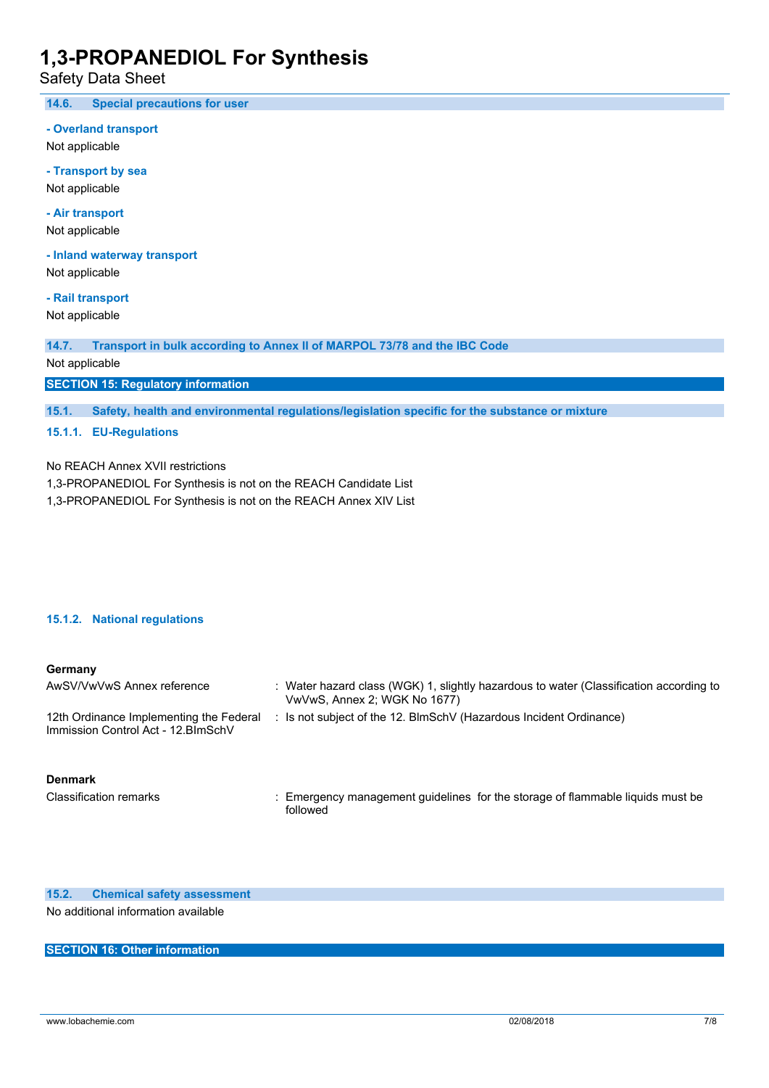Safety Data Sheet

**14.6. Special precautions for user**

**- Overland transport**

Not applicable

**- Transport by sea** Not applicable

**- Air transport**

Not applicable

**- Inland waterway transport** Not applicable

**- Rail transport**

Not applicable

**14.7. Transport in bulk according to Annex II of MARPOL 73/78 and the IBC Code**

Not applicable

**SECTION 15: Regulatory information**

**15.1. Safety, health and environmental regulations/legislation specific for the substance or mixture**

#### **15.1.1. EU-Regulations**

No REACH Annex XVII restrictions

1,3-PROPANEDIOL For Synthesis is not on the REACH Candidate List

1,3-PROPANEDIOL For Synthesis is not on the REACH Annex XIV List

#### **15.1.2. National regulations**

#### **Germany**

| AwSV/VwVwS Annex reference                                                     | : Water hazard class (WGK) 1, slightly hazardous to water (Classification according to<br>VwVwS, Annex 2; WGK No 1677) |
|--------------------------------------------------------------------------------|------------------------------------------------------------------------------------------------------------------------|
| 12th Ordinance Implementing the Federal<br>Immission Control Act - 12. BlmSchV | : Is not subject of the 12. BlmSchV (Hazardous Incident Ordinance)                                                     |

**Denmark**

Classification remarks : Emergency management guidelines for the storage of flammable liquids must be followed

**15.2. Chemical safety assessment** No additional information available

#### **SECTION 16: Other information**